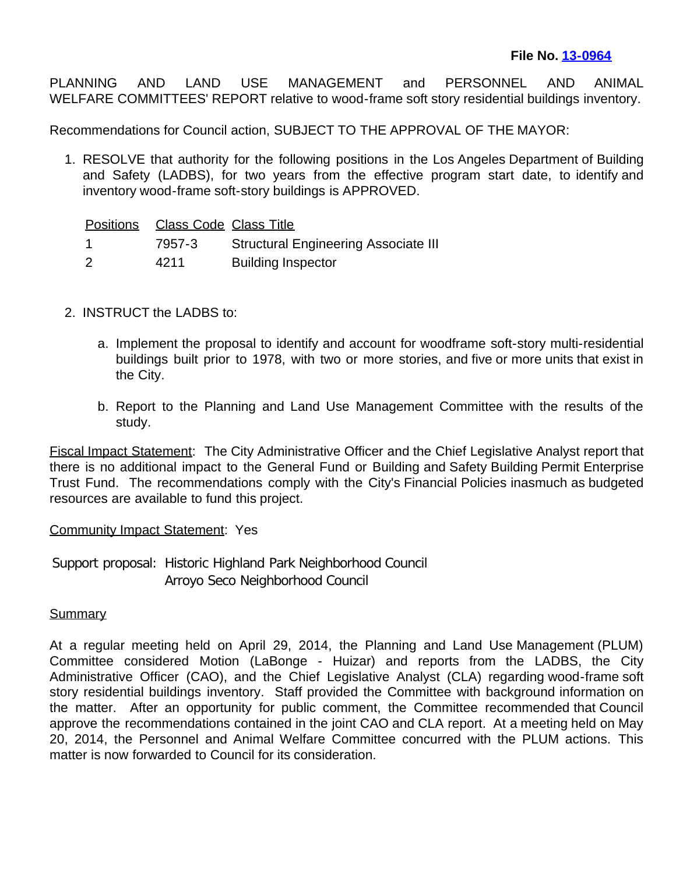PLANNING AND LAND USE MANAGEMENT and PERSONNEL AND ANIMAL WELFARE COMMITTEES' REPORT relative to wood-frame soft story residential buildings inventory.

Recommendations for Council action, SUBJECT TO THE APPROVAL OF THE MAYOR:

1. RESOLVE that authority for the following positions in the Los Angeles Department of Building and Safety (LADBS), for two years from the effective program start date, to identify and inventory wood-frame soft-story buildings is APPROVED.

|    | Positions Class Code Class Title |                                             |
|----|----------------------------------|---------------------------------------------|
| -1 | 7957-3                           | <b>Structural Engineering Associate III</b> |
| 2  | 4211                             | <b>Building Inspector</b>                   |

- 2. INSTRUCT the LADBS to:
	- a. Implement the proposal to identify and account for woodframe soft-story multi-residential buildings built prior to 1978, with two or more stories, and five or more units that exist in the City.
	- b. Report to the Planning and Land Use Management Committee with the results of the study.

Fiscal Impact Statement: The City Administrative Officer and the Chief Legislative Analyst report that there is no additional impact to the General Fund or Building and Safety Building Permit Enterprise Trust Fund. The recommendations comply with the City's Financial Policies inasmuch as budgeted resources are available to fund this project.

## **Community Impact Statement: Yes**

Support proposal: Historic Highland Park Neighborhood Council Arroyo Seco Neighborhood Council

## **Summary**

At a regular meeting held on April 29, 2014, the Planning and Land Use Management (PLUM) Committee considered Motion (LaBonge - Huizar) and reports from the LADBS, the City Administrative Officer (CAO), and the Chief Legislative Analyst (CLA) regarding wood-frame soft story residential buildings inventory. Staff provided the Committee with background information on the matter. After an opportunity for public comment, the Committee recommended that Council approve the recommendations contained in the joint CAO and CLA report. At a meeting held on May 20, 2014, the Personnel and Animal Welfare Committee concurred with the PLUM actions. This matter is now forwarded to Council for its consideration.